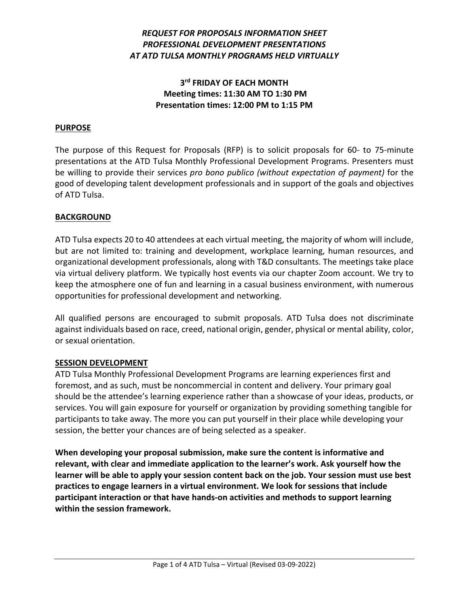# *REQUEST FOR PROPOSALS INFORMATION SHEET PROFESSIONAL DEVELOPMENT PRESENTATIONS AT ATD TULSA MONTHLY PROGRAMS HELD VIRTUALLY*

# **3rd FRIDAY OF EACH MONTH Meeting times: 11:30 AM TO 1:30 PM Presentation times: 12:00 PM to 1:15 PM**

### **PURPOSE**

The purpose of this Request for Proposals (RFP) is to solicit proposals for 60- to 75-minute presentations at the ATD Tulsa Monthly Professional Development Programs. Presenters must be willing to provide their services *pro bono publico (without expectation of payment)* for the good of developing talent development professionals and in support of the goals and objectives of ATD Tulsa.

#### **BACKGROUND**

ATD Tulsa expects 20 to 40 attendees at each virtual meeting, the majority of whom will include, but are not limited to: training and development, workplace learning, human resources, and organizational development professionals, along with T&D consultants. The meetings take place via virtual delivery platform. We typically host events via our chapter Zoom account. We try to keep the atmosphere one of fun and learning in a casual business environment, with numerous opportunities for professional development and networking.

All qualified persons are encouraged to submit proposals. ATD Tulsa does not discriminate against individuals based on race, creed, national origin, gender, physical or mental ability, color, or sexual orientation.

#### **SESSION DEVELOPMENT**

ATD Tulsa Monthly Professional Development Programs are learning experiences first and foremost, and as such, must be noncommercial in content and delivery. Your primary goal should be the attendee's learning experience rather than a showcase of your ideas, products, or services. You will gain exposure for yourself or organization by providing something tangible for participants to take away. The more you can put yourself in their place while developing your session, the better your chances are of being selected as a speaker.

**When developing your proposal submission, make sure the content is informative and relevant, with clear and immediate application to the learner's work. Ask yourself how the learner will be able to apply your session content back on the job. Your session must use best practices to engage learners in a virtual environment. We look for sessions that include participant interaction or that have hands-on activities and methods to support learning within the session framework.**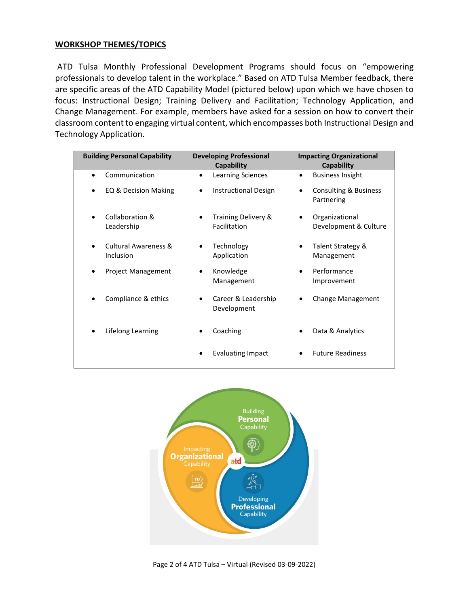#### **WORKSHOP THEMES/TOPICS**

ATD Tulsa Monthly Professional Development Programs should focus on "empowering professionals to develop talent in the workplace." Based on ATD Tulsa Member feedback, there are specific areas of the ATD Capability Model (pictured below) upon which we have chosen to focus: Instructional Design; Training Delivery and Facilitation; Technology Application, and Change Management. For example, members have asked for a session on how to convert their classroom content to engaging virtual content, which encompasses both Instructional Design and Technology Application.

| <b>Building Personal Capability</b>          | <b>Developing Professional</b><br>Capability | <b>Impacting Organizational</b><br>Capability |
|----------------------------------------------|----------------------------------------------|-----------------------------------------------|
| Communication                                | <b>Learning Sciences</b>                     | <b>Business Insight</b>                       |
| EQ & Decision Making                         | <b>Instructional Design</b>                  | Consulting & Business<br>Partnering           |
| Collaboration &<br>Leadership                | Training Delivery &<br>Facilitation          | Organizational<br>Development & Culture       |
| <b>Cultural Awareness &amp;</b><br>Inclusion | Technology<br>Application                    | Talent Strategy &<br>Management               |
| <b>Project Management</b>                    | Knowledge<br>Management                      | Performance<br>Improvement                    |
| Compliance & ethics                          | Career & Leadership<br>Development           | <b>Change Management</b>                      |
| Lifelong Learning                            | Coaching                                     | Data & Analytics                              |
|                                              | <b>Evaluating Impact</b>                     | <b>Future Readiness</b>                       |

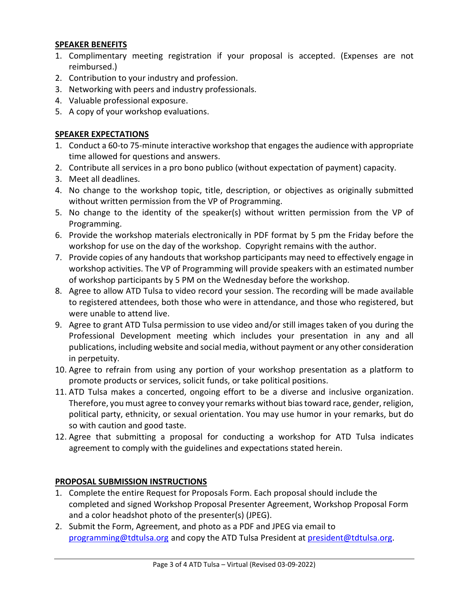### **SPEAKER BENEFITS**

- 1. Complimentary meeting registration if your proposal is accepted. (Expenses are not reimbursed.)
- 2. Contribution to your industry and profession.
- 3. Networking with peers and industry professionals.
- 4. Valuable professional exposure.
- 5. A copy of your workshop evaluations.

# **SPEAKER EXPECTATIONS**

- 1. Conduct a 60-to 75-minute interactive workshop that engages the audience with appropriate time allowed for questions and answers.
- 2. Contribute all services in a pro bono publico (without expectation of payment) capacity.
- 3. Meet all deadlines.
- 4. No change to the workshop topic, title, description, or objectives as originally submitted without written permission from the VP of Programming.
- 5. No change to the identity of the speaker(s) without written permission from the VP of Programming.
- 6. Provide the workshop materials electronically in PDF format by 5 pm the Friday before the workshop for use on the day of the workshop. Copyright remains with the author.
- 7. Provide copies of any handouts that workshop participants may need to effectively engage in workshop activities. The VP of Programming will provide speakers with an estimated number of workshop participants by 5 PM on the Wednesday before the workshop.
- 8. Agree to allow ATD Tulsa to video record your session. The recording will be made available to registered attendees, both those who were in attendance, and those who registered, but were unable to attend live.
- 9. Agree to grant ATD Tulsa permission to use video and/or still images taken of you during the Professional Development meeting which includes your presentation in any and all publications, including website and social media, without payment or any other consideration in perpetuity.
- 10. Agree to refrain from using any portion of your workshop presentation as a platform to promote products or services, solicit funds, or take political positions.
- 11. ATD Tulsa makes a concerted, ongoing effort to be a diverse and inclusive organization. Therefore, you must agree to convey your remarks without bias toward race, gender, religion, political party, ethnicity, or sexual orientation. You may use humor in your remarks, but do so with caution and good taste.
- 12. Agree that submitting a proposal for conducting a workshop for ATD Tulsa indicates agreement to comply with the guidelines and expectations stated herein.

## **PROPOSAL SUBMISSION INSTRUCTIONS**

- 1. Complete the entire Request for Proposals Form. Each proposal should include the completed and signed Workshop Proposal Presenter Agreement, Workshop Proposal Form and a color headshot photo of the presenter(s) (JPEG).
- 2. Submit the Form, Agreement, and photo as a PDF and JPEG via email to [programming@tdtulsa.org](mailto:programming@tdtulsa.org) and copy the ATD Tulsa President at [president@tdtulsa.org.](mailto:president@tdtulsa.org)